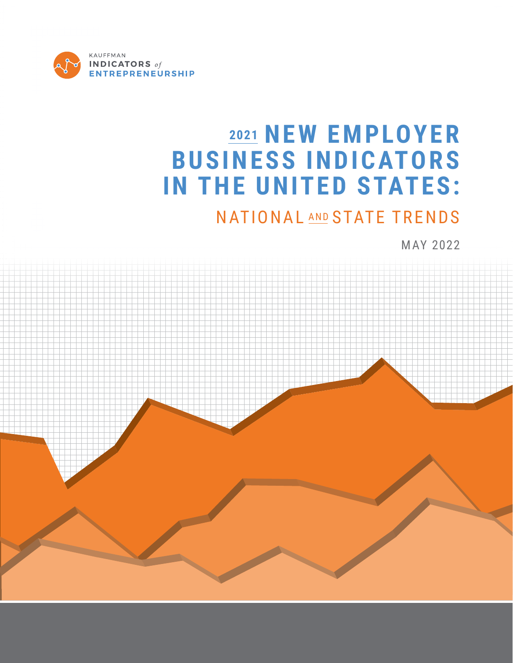

# **<sup>2021</sup> NEW EMPLOYER BUSINESS INDICATORS IN THE UNITED STATES:**

## NATIONAL AND STATE TRENDS

MAY 2022

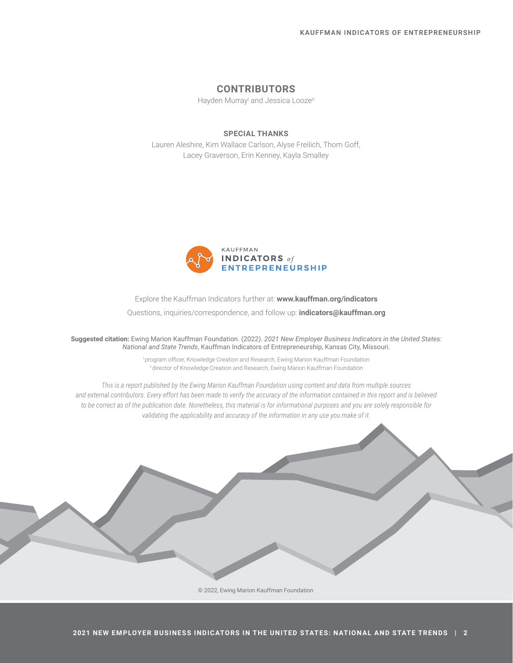#### **CONTRIBUTORS**

Hayden Murray<sup>i</sup> and Jessica Looze<sup>ll</sup>

#### **SPECIAL THANKS**

Lauren Aleshire, Kim Wallace Carlson, Alyse Freilich, Thom Goff, Lacey Graverson, Erin Kenney, Kayla Smalley



Explore the Kauffman Indicators further at: **www.kauffman.org/indicators**  Questions, inquiries/correspondence, and follow up: **indicators@kauffman.org** 

**Suggested citation:** Ewing Marion Kauffman Foundation. (2022). *2021 New Employer Business Indicators in the United States: National and State Trends*, Kauffman Indicators of Entrepreneurship, Kansas City, Missouri.

> <sup>I</sup>program officer, Knowledge Creation and Research, Ewing Marion Kauffman Foundation II director of Knowledge Creation and Research, Ewing Marion Kauffman Foundation

*This is a report published by the Ewing Marion Kauffman Foundation using content and data from multiple sources and external contributors. Every effort has been made to verify the accuracy of the information contained in this report and is believed to be correct as of the publication date. Nonetheless, this material is for informational purposes and you are solely responsible for validating the applicability and accuracy of the information in any use you make of it.*

© 2022, Ewing Marion Kauffman Foundation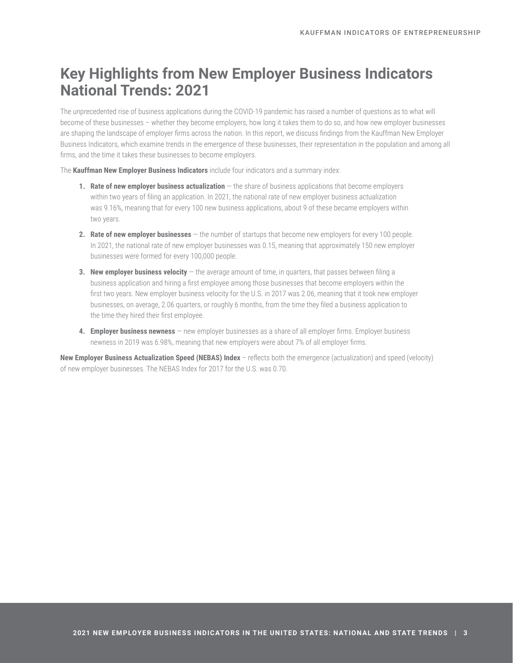## **Key Highlights from New Employer Business Indicators National Trends: 2021**

The unprecedented rise of business applications during the COVID-19 pandemic has raised a number of questions as to what will become of these businesses – whether they become employers, how long it takes them to do so, and how new employer businesses are shaping the landscape of employer firms across the nation. In this report, we discuss findings from the Kauffman New Employer Business Indicators, which examine trends in the emergence of these businesses, their representation in the population and among all firms, and the time it takes these businesses to become employers.

The **Kauffman New Employer Business Indicators** include four indicators and a summary index:

- **1. Rate of new employer business actualization** the share of business applications that become employers within two years of filing an application. In 2021, the national rate of new employer business actualization was 9.16%, meaning that for every 100 new business applications, about 9 of these became employers within two years.
- **2. Rate of new employer businesses** the number of startups that become new employers for every 100 people. In 2021, the national rate of new employer businesses was 0.15, meaning that approximately 150 new employer businesses were formed for every 100,000 people.
- **3. New employer business velocity** the average amount of time, in quarters, that passes between filing a business application and hiring a first employee among those businesses that become employers within the first two years. New employer business velocity for the U.S. in 2017 was 2.06, meaning that it took new employer businesses, on average, 2.06 quarters, or roughly 6 months, from the time they filed a business application to the time they hired their first employee.
- **4. Employer business newness** new employer businesses as a share of all employer firms. Employer business newness in 2019 was 6.98%, meaning that new employers were about 7% of all employer firms.

**New Employer Business Actualization Speed (NEBAS) Index** – reflects both the emergence (actualization) and speed (velocity) of new employer businesses. The NEBAS Index for 2017 for the U.S. was 0.70.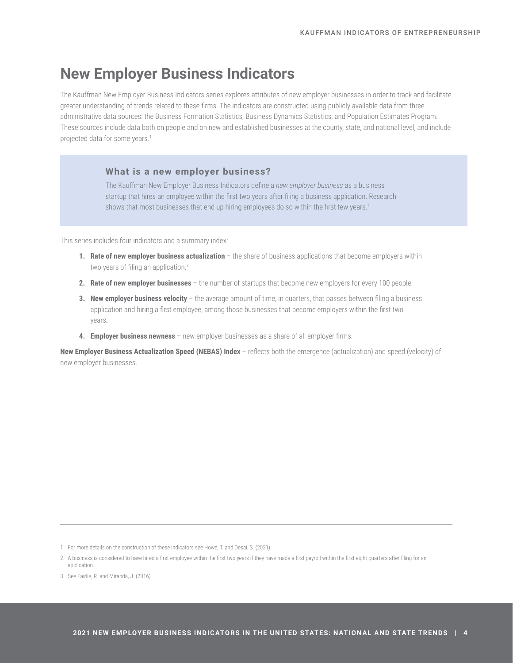## **New Employer Business Indicators**

The Kauffman New Employer Business Indicators series explores attributes of new employer businesses in order to track and facilitate greater understanding of trends related to these firms. The indicators are constructed using publicly available data from three administrative data sources: the Business Formation Statistics, Business Dynamics Statistics, and Population Estimates Program. These sources include data both on people and on new and established businesses at the county, state, and national level, and include projected data for some years.<sup>1</sup>

#### **What is a new employer business?**

The Kauffman New Employer Business Indicators define a *new employer business* as a business startup that hires an employee within the first two years after filing a business application. Research shows that most businesses that end up hiring employees do so within the first few years.<sup>2</sup>

This series includes four indicators and a summary index:

- **1. Rate of new employer business actualization** the share of business applications that become employers within two years of filing an application.<sup>3</sup>
- **2. Rate of new employer businesses** the number of startups that become new employers for every 100 people.
- **3. New employer business velocity** the average amount of time, in quarters, that passes between filing a business application and hiring a first employee, among those businesses that become employers within the first two years.
- **4. Employer business newness**  new employer businesses as a share of all employer firms.

**New Employer Business Actualization Speed (NEBAS) Index** – reflects both the emergence (actualization) and speed (velocity) of new employer businesses.

1 For more details on the construction of these indicators see Howe, T. and Desai, S. (2021).

3. See Fairlie, R. and Miranda, J. (2016).

<sup>2.</sup> A business is considered to have hired a first employee within the first two years if they have made a first payroll within the first eight quarters after filing for an application.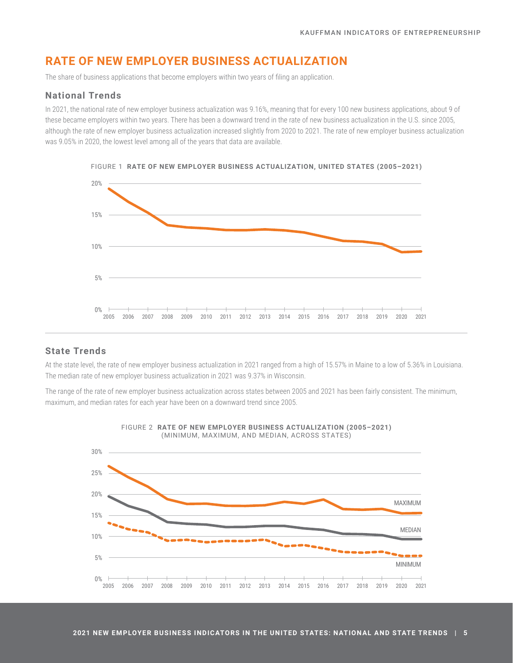## **RATE OF NEW EMPLOYER BUSINESS ACTUALIZATION**

The share of business applications that become employers within two years of filing an application.

#### **National Trends**

In 2021, the national rate of new employer business actualization was 9.16%, meaning that for every 100 new business applications, about 9 of these became employers within two years. There has been a downward trend in the rate of new business actualization in the U.S. since 2005, although the rate of new employer business actualization increased slightly from 2020 to 2021. The rate of new employer business actualization was 9.05% in 2020, the lowest level among all of the years that data are available.



#### FIGURE 1 **RATE OF NEW EMPLOYER BUSINESS ACTUALIZATION, UNITED STATES (2005–2021)**

#### **State Trends**

At the state level, the rate of new employer business actualization in 2021 ranged from a high of 15.57% in Maine to a low of 5.36% in Louisiana. The median rate of new employer business actualization in 2021 was 9.37% in Wisconsin.

The range of the rate of new employer business actualization across states between 2005 and 2021 has been fairly consistent. The minimum, maximum, and median rates for each year have been on a downward trend since 2005.



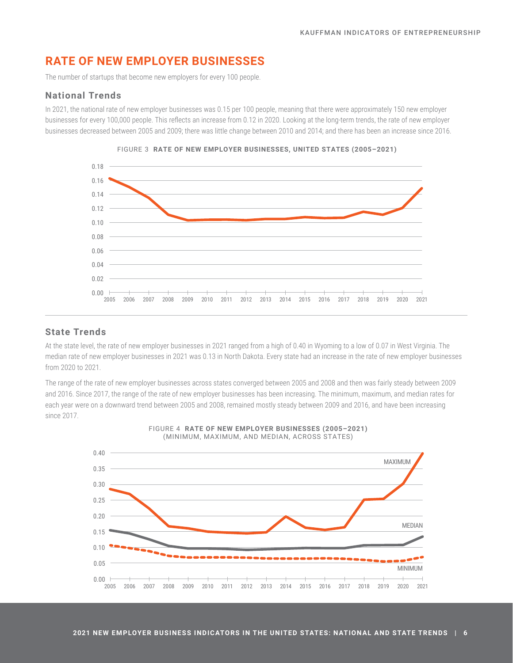## **RATE OF NEW EMPLOYER BUSINESSES**

The number of startups that become new employers for every 100 people.

#### **National Trends**

In 2021, the national rate of new employer businesses was 0.15 per 100 people, meaning that there were approximately 150 new employer businesses for every 100,000 people. This reflects an increase from 0.12 in 2020. Looking at the long-term trends, the rate of new employer businesses decreased between 2005 and 2009; there was little change between 2010 and 2014; and there has been an increase since 2016.





#### **State Trends**

At the state level, the rate of new employer businesses in 2021 ranged from a high of 0.40 in Wyoming to a low of 0.07 in West Virginia. The median rate of new employer businesses in 2021 was 0.13 in North Dakota. Every state had an increase in the rate of new employer businesses from 2020 to 2021.

The range of the rate of new employer businesses across states converged between 2005 and 2008 and then was fairly steady between 2009 and 2016. Since 2017, the range of the rate of new employer businesses has been increasing. The minimum, maximum, and median rates for each year were on a downward trend between 2005 and 2008, remained mostly steady between 2009 and 2016, and have been increasing since 2017.



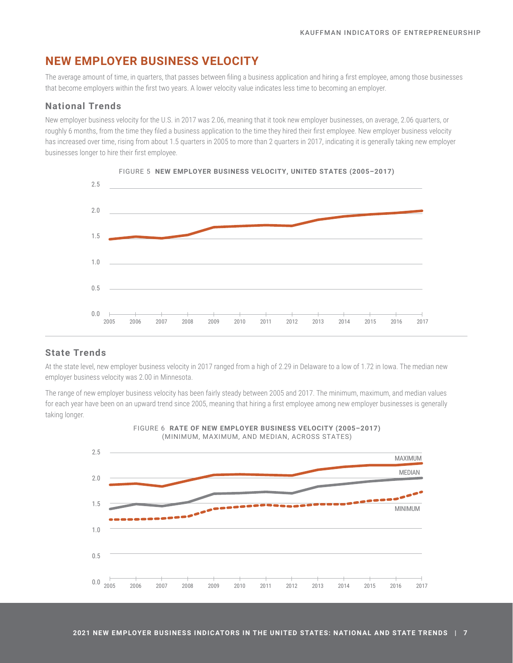## **NEW EMPLOYER BUSINESS VELOCITY**

The average amount of time, in quarters, that passes between filing a business application and hiring a first employee, among those businesses that become employers within the first two years. A lower velocity value indicates less time to becoming an employer.

#### **National Trends**

New employer business velocity for the U.S. in 2017 was 2.06, meaning that it took new employer businesses, on average, 2.06 quarters, or roughly 6 months, from the time they filed a business application to the time they hired their first employee. New employer business velocity has increased over time, rising from about 1.5 quarters in 2005 to more than 2 quarters in 2017, indicating it is generally taking new employer businesses longer to hire their first employee.



FIGURE 5 **NEW EMPLOYER BUSINESS VELOCITY, UNITED STATES (2005–2017)**

#### **State Trends**

At the state level, new employer business velocity in 2017 ranged from a high of 2.29 in Delaware to a low of 1.72 in Iowa. The median new employer business velocity was 2.00 in Minnesota.

The range of new employer business velocity has been fairly steady between 2005 and 2017. The minimum, maximum, and median values for each year have been on an upward trend since 2005, meaning that hiring a first employee among new employer businesses is generally taking longer.



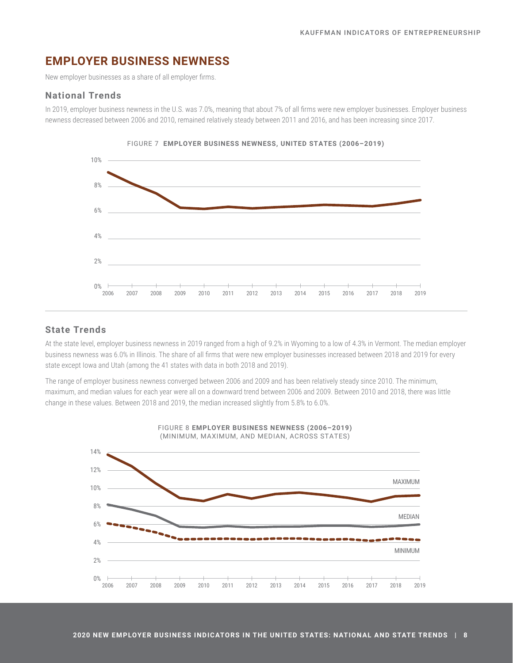## **EMPLOYER BUSINESS NEWNESS**

New employer businesses as a share of all employer firms.

#### **National Trends**

In 2019, employer business newness in the U.S. was 7.0%, meaning that about 7% of all firms were new employer businesses. Employer business newness decreased between 2006 and 2010, remained relatively steady between 2011 and 2016, and has been increasing since 2017.





#### **State Trends**

At the state level, employer business newness in 2019 ranged from a high of 9.2% in Wyoming to a low of 4.3% in Vermont. The median employer business newness was 6.0% in Illinois. The share of all firms that were new employer businesses increased between 2018 and 2019 for every state except Iowa and Utah (among the 41 states with data in both 2018 and 2019).

The range of employer business newness converged between 2006 and 2009 and has been relatively steady since 2010. The minimum, maximum, and median values for each year were all on a downward trend between 2006 and 2009. Between 2010 and 2018, there was little change in these values. Between 2018 and 2019, the median increased slightly from 5.8% to 6.0%.

FIGURE 8 **EMPLOYER BUSINESS NEWNESS (2006–2019)**



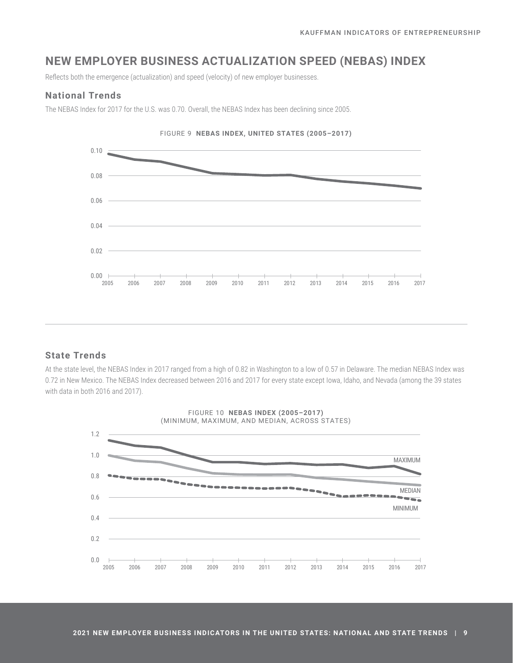## **NEW EMPLOYER BUSINESS ACTUALIZATION SPEED (NEBAS) INDEX**

Reflects both the emergence (actualization) and speed (velocity) of new employer businesses.

#### **National Trends**

The NEBAS Index for 2017 for the U.S. was 0.70. Overall, the NEBAS Index has been declining since 2005.



#### **State Trends**

At the state level, the NEBAS Index in 2017 ranged from a high of 0.82 in Washington to a low of 0.57 in Delaware. The median NEBAS Index was 0.72 in New Mexico. The NEBAS Index decreased between 2016 and 2017 for every state except Iowa, Idaho, and Nevada (among the 39 states with data in both 2016 and 2017).

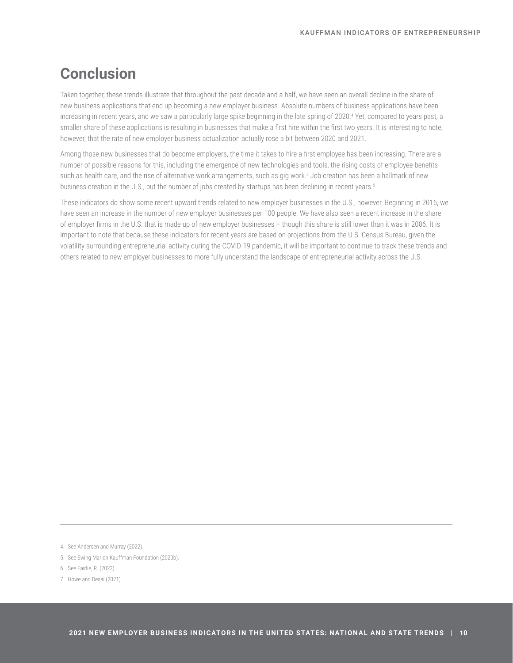## **Conclusion**

Taken together, these trends illustrate that throughout the past decade and a half, we have seen an overall decline in the share of new business applications that end up becoming a new employer business. Absolute numbers of business applications have been increasing in recent years, and we saw a particularly large spike beginning in the late spring of 2020.<sup>4</sup> Yet, compared to years past, a smaller share of these applications is resulting in businesses that make a first hire within the first two years. It is interesting to note, however, that the rate of new employer business actualization actually rose a bit between 2020 and 2021.

Among those new businesses that do become employers, the time it takes to hire a first employee has been increasing. There are a number of possible reasons for this, including the emergence of new technologies and tools, the rising costs of employee benefits such as health care, and the rise of alternative work arrangements, such as gig work.<sup>5</sup> Job creation has been a hallmark of new business creation in the U.S., but the number of jobs created by startups has been declining in recent years.<sup>6</sup>

These indicators do show some recent upward trends related to new employer businesses in the U.S., however. Beginning in 2016, we have seen an increase in the number of new employer businesses per 100 people. We have also seen a recent increase in the share of employer firms in the U.S. that is made up of new employer businesses – though this share is still lower than it was in 2006. It is important to note that because these indicators for recent years are based on projections from the U.S. Census Bureau, given the volatility surrounding entrepreneurial activity during the COVID-19 pandemic, it will be important to continue to track these trends and others related to new employer businesses to more fully understand the landscape of entrepreneurial activity across the U.S.

4. See Andersen and Murray (2022).

5. See Ewing Marion Kauffman Foundation (2020b).

6. See Fairlie, R. (2022).

7. Howe and Desai (2021).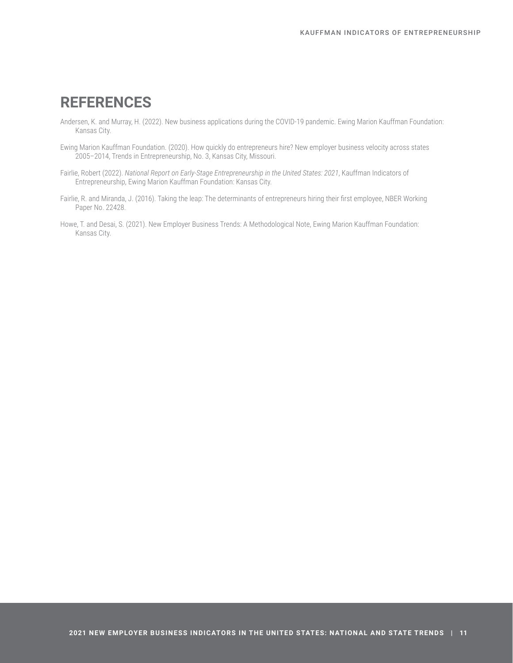## **REFERENCES**

- Andersen, K. and Murray, H. (2022). New business applications during the COVID-19 pandemic. Ewing Marion Kauffman Foundation: Kansas City.
- Ewing Marion Kauffman Foundation. (2020). How quickly do entrepreneurs hire? New employer business velocity across states 2005–2014, Trends in Entrepreneurship, No. 3, Kansas City, Missouri.
- Fairlie, Robert (2022). *National Report on Early-Stage Entrepreneurship in the United States: 2021*, Kauffman Indicators of Entrepreneurship, Ewing Marion Kauffman Foundation: Kansas City.
- Fairlie, R. and Miranda, J. (2016). Taking the leap: The determinants of entrepreneurs hiring their first employee, NBER Working Paper No. 22428.
- Howe, T. and Desai, S. (2021). New Employer Business Trends: A Methodological Note, Ewing Marion Kauffman Foundation: Kansas City.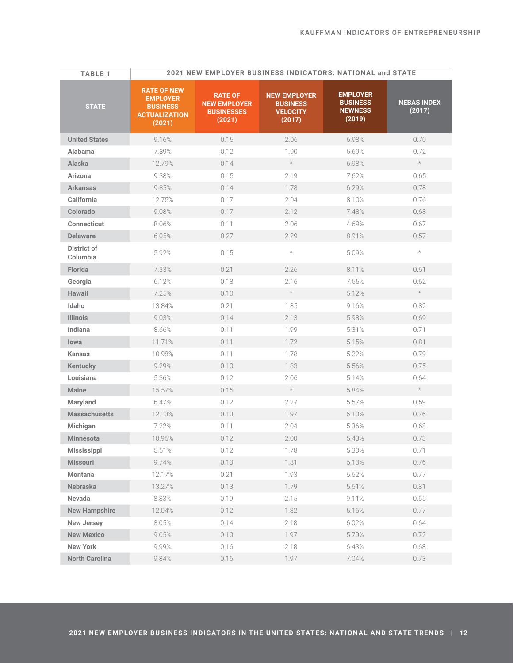| <b>TABLE 1</b>                 |                                                                                            | 2021 NEW EMPLOYER BUSINESS INDICATORS: NATIONAL and STATE            |                                                                     |                                                                |                              |  |  |
|--------------------------------|--------------------------------------------------------------------------------------------|----------------------------------------------------------------------|---------------------------------------------------------------------|----------------------------------------------------------------|------------------------------|--|--|
| <b>STATE</b>                   | <b>RATE OF NEW</b><br><b>EMPLOYER</b><br><b>BUSINESS</b><br><b>ACTUALIZATION</b><br>(2021) | <b>RATE OF</b><br><b>NEW EMPLOYER</b><br><b>BUSINESSES</b><br>(2021) | <b>NEW EMPLOYER</b><br><b>BUSINESS</b><br><b>VELOCITY</b><br>(2017) | <b>EMPLOYER</b><br><b>BUSINESS</b><br><b>NEWNESS</b><br>(2019) | <b>NEBAS INDEX</b><br>(2017) |  |  |
| <b>United States</b>           | 9.16%                                                                                      | 0.15                                                                 | 2.06                                                                | 6.98%                                                          | 0.70                         |  |  |
| Alabama                        | 7.89%                                                                                      | 0.12                                                                 | 1.90                                                                | 5.69%                                                          | 0.72                         |  |  |
| <b>Alaska</b>                  | 12.79%                                                                                     | 0.14                                                                 | $\star$                                                             | 6.98%                                                          | $\star$                      |  |  |
| Arizona                        | 9.38%                                                                                      | 0.15                                                                 | 2.19                                                                | 7.62%                                                          | 0.65                         |  |  |
| <b>Arkansas</b>                | 9.85%                                                                                      | 0.14                                                                 | 1.78                                                                | 6.29%                                                          | 0.78                         |  |  |
| California                     | 12.75%                                                                                     | 0.17                                                                 | 2.04                                                                | 8.10%                                                          | 0.76                         |  |  |
| Colorado                       | 9.08%                                                                                      | 0.17                                                                 | 2.12                                                                | 7.48%                                                          | 0.68                         |  |  |
| <b>Connecticut</b>             | 8.06%                                                                                      | 0.11                                                                 | 2.06                                                                | 4.69%                                                          | 0.67                         |  |  |
| <b>Delaware</b>                | 6.05%                                                                                      | 0.27                                                                 | 2.29                                                                | 8.91%                                                          | 0.57                         |  |  |
| <b>District of</b><br>Columbia | 5.92%                                                                                      | 0.15                                                                 | $\star$                                                             | 5.09%                                                          | $\star$                      |  |  |
| Florida                        | 7.33%                                                                                      | 0.21                                                                 | 2.26                                                                | 8.11%                                                          | 0.61                         |  |  |
| Georgia                        | 6.12%                                                                                      | 0.18                                                                 | 2.16                                                                | 7.55%                                                          | 0.62                         |  |  |
| <b>Hawaii</b>                  | 7.25%                                                                                      | 0.10                                                                 | $\star$                                                             | 5.12%                                                          | $\star$                      |  |  |
| Idaho                          | 13.84%                                                                                     | 0.21                                                                 | 1.85                                                                | 9.16%                                                          | 0.82                         |  |  |
| <b>Illinois</b>                | 9.03%                                                                                      | 0.14                                                                 | 2.13                                                                | 5.98%                                                          | 0.69                         |  |  |
| Indiana                        | 8.66%                                                                                      | 0.11                                                                 | 1.99                                                                | 5.31%                                                          | 0.71                         |  |  |
| lowa                           | 11.71%                                                                                     | 0.11                                                                 | 1.72                                                                | 5.15%                                                          | 0.81                         |  |  |
| <b>Kansas</b>                  | 10.98%                                                                                     | 0.11                                                                 | 1.78                                                                | 5.32%                                                          | 0.79                         |  |  |
| <b>Kentucky</b>                | 9.29%                                                                                      | 0.10                                                                 | 1.83                                                                | 5.56%                                                          | 0.75                         |  |  |
| Louisiana                      | 5.36%                                                                                      | 0.12                                                                 | 2.06                                                                | 5.14%                                                          | 0.64                         |  |  |
| <b>Maine</b>                   | 15.57%                                                                                     | 0.15                                                                 | $\star$                                                             | 5.84%                                                          | $\star$                      |  |  |
| Maryland                       | 6.47%                                                                                      | 0.12                                                                 | 2.27                                                                | 5.57%                                                          | 0.59                         |  |  |
| <b>Massachusetts</b>           | 12.13%                                                                                     | 0.13                                                                 | 1.97                                                                | 6.10%                                                          | 0.76                         |  |  |
| Michigan                       | 7.22%                                                                                      | 0.11                                                                 | 2.04                                                                | 5.36%                                                          | 0.68                         |  |  |
| <b>Minnesota</b>               | 10.96%                                                                                     | 0.12                                                                 | 2.00                                                                | 5.43%                                                          | 0.73                         |  |  |
| <b>Mississippi</b>             | 5.51%                                                                                      | 0.12                                                                 | 1.78                                                                | 5.30%                                                          | 0.71                         |  |  |
| <b>Missouri</b>                | 9.74%                                                                                      | 0.13                                                                 | 1.81                                                                | 6.13%                                                          | 0.76                         |  |  |
| <b>Montana</b>                 | 12.17%                                                                                     | 0.21                                                                 | 1.93                                                                | 6.62%                                                          | 0.77                         |  |  |
| <b>Nebraska</b>                | 13.27%                                                                                     | 0.13                                                                 | 1.79                                                                | 5.61%                                                          | 0.81                         |  |  |
| Nevada                         | 8.83%                                                                                      | 0.19                                                                 | 2.15                                                                | 9.11%                                                          | 0.65                         |  |  |
| <b>New Hampshire</b>           | 12.04%                                                                                     | 0.12                                                                 | 1.82                                                                | 5.16%                                                          | 0.77                         |  |  |
| <b>New Jersey</b>              | 8.05%                                                                                      | 0.14                                                                 | 2.18                                                                | 6.02%                                                          | 0.64                         |  |  |
| <b>New Mexico</b>              | 9.05%                                                                                      | 0.10                                                                 | 1.97                                                                | 5.70%                                                          | 0.72                         |  |  |
| <b>New York</b>                | 9.99%                                                                                      | 0.16                                                                 | 2.18                                                                | 6.43%                                                          | 0.68                         |  |  |
| <b>North Carolina</b>          | 9.84%                                                                                      | 0.16                                                                 | 1.97                                                                | 7.04%                                                          | 0.73                         |  |  |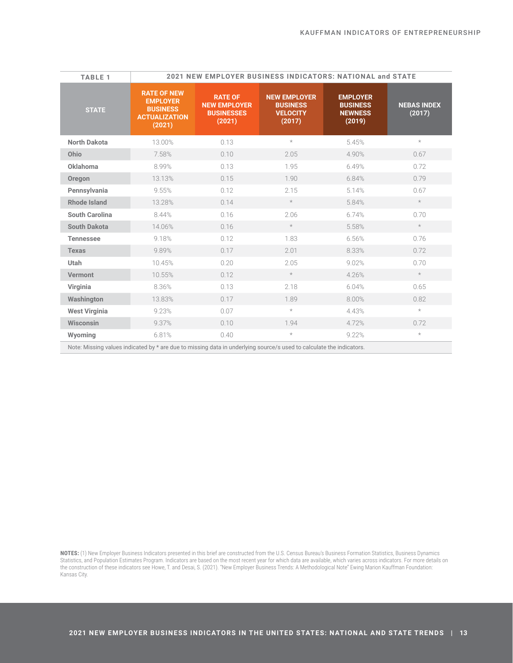| <b>TABLE 1</b>        | 2021 NEW EMPLOYER BUSINESS INDICATORS: NATIONAL and STATE                                  |                                                                      |                                                                     |                                                                |                              |  |
|-----------------------|--------------------------------------------------------------------------------------------|----------------------------------------------------------------------|---------------------------------------------------------------------|----------------------------------------------------------------|------------------------------|--|
| <b>STATE</b>          | <b>RATE OF NEW</b><br><b>EMPLOYER</b><br><b>BUSINESS</b><br><b>ACTUALIZATION</b><br>(2021) | <b>RATE OF</b><br><b>NEW EMPLOYER</b><br><b>BUSINESSES</b><br>(2021) | <b>NEW EMPLOYER</b><br><b>BUSINESS</b><br><b>VELOCITY</b><br>(2017) | <b>EMPLOYER</b><br><b>BUSINESS</b><br><b>NEWNESS</b><br>(2019) | <b>NEBAS INDEX</b><br>(2017) |  |
| <b>North Dakota</b>   | 13.00%                                                                                     | 0.13                                                                 | $\star$                                                             | 5.45%                                                          | $\star$                      |  |
| Ohio                  | 7.58%                                                                                      | 0.10                                                                 | 2.05                                                                | 4.90%                                                          | 0.67                         |  |
| Oklahoma              | 8.99%                                                                                      | 0.13                                                                 | 1.95                                                                | 6.49%                                                          | 0.72                         |  |
| Oregon                | 13.13%                                                                                     | 0.15                                                                 | 1.90                                                                | 6.84%                                                          | 0.79                         |  |
| Pennsylvania          | 9.55%                                                                                      | 0.12                                                                 | 2.15                                                                | 5.14%                                                          | 0.67                         |  |
| <b>Rhode Island</b>   | 13.28%                                                                                     | 0.14                                                                 | $\star$                                                             | 5.84%                                                          | $\star$                      |  |
| <b>South Carolina</b> | 8.44%                                                                                      | 0.16                                                                 | 2.06                                                                | 6.74%                                                          | 0.70                         |  |
| <b>South Dakota</b>   | 14.06%                                                                                     | 0.16                                                                 | $\star$                                                             | 5.58%                                                          | $\star$                      |  |
| <b>Tennessee</b>      | 9.18%                                                                                      | 0.12                                                                 | 1.83                                                                | 6.56%                                                          | 0.76                         |  |
| <b>Texas</b>          | 9.89%                                                                                      | 0.17                                                                 | 2.01                                                                | 8.33%                                                          | 0.72                         |  |
| <b>Utah</b>           | 10.45%                                                                                     | 0.20                                                                 | 2.05                                                                | 9.02%                                                          | 0.70                         |  |
| <b>Vermont</b>        | 10.55%                                                                                     | 0.12                                                                 | $\star$                                                             | 4.26%                                                          | $\star$                      |  |
| Virginia              | 8.36%                                                                                      | 0.13                                                                 | 2.18                                                                | 6.04%                                                          | 0.65                         |  |
| Washington            | 13.83%                                                                                     | 0.17                                                                 | 1.89                                                                | 8.00%                                                          | 0.82                         |  |
| <b>West Virginia</b>  | 9.23%                                                                                      | 0.07                                                                 | $\star$                                                             | 4.43%                                                          | $\star$                      |  |
| Wisconsin             | 9.37%                                                                                      | 0.10                                                                 | 1.94                                                                | 4.72%                                                          | 0.72                         |  |
| Wyoming               | 6.81%                                                                                      | 0.40                                                                 | $^{\star}$                                                          | 9.22%                                                          | $\star$                      |  |

**NOTES:** (1) New Employer Business Indicators presented in this brief are constructed from the U.S. Census Bureau's Business Formation Statistics, Business Dynamics Statistics, and Population Estimates Program. Indicators are based on the most recent year for which data are available, which varies across indicators. For more details on the construction of these indicators see Howe, T. and Desai, S. (2021). "New Employer Business Trends: A Methodological Note" Ewing Marion Kauffman Foundation: Kansas City.